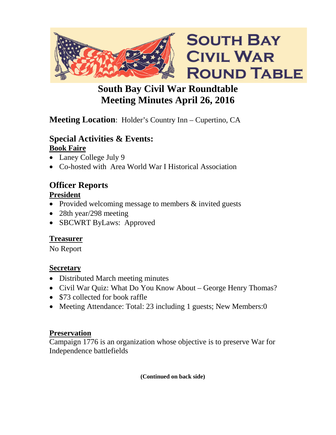

# **South Bay Civil War Roundtable Meeting Minutes April 26, 2016**

# **Meeting Location**: Holder's Country Inn – Cupertino, CA

#### **Special Activities & Events: Book Faire**

- Laney College July 9
- Co-hosted with Area World War I Historical Association

# **Officer Reports**

### **President**

- Provided welcoming message to members & invited guests
- 28th year/298 meeting
- SBCWRT ByLaws: Approved

# **Treasurer**

No Report

## **Secretary**

- Distributed March meeting minutes
- Civil War Quiz: What Do You Know About George Henry Thomas?
- \$73 collected for book raffle
- Meeting Attendance: Total: 23 including 1 guests; New Members:0

# **Preservation**

Campaign 1776 is an organization whose objective is to preserve War for Independence battlefields

**(Continued on back side)**